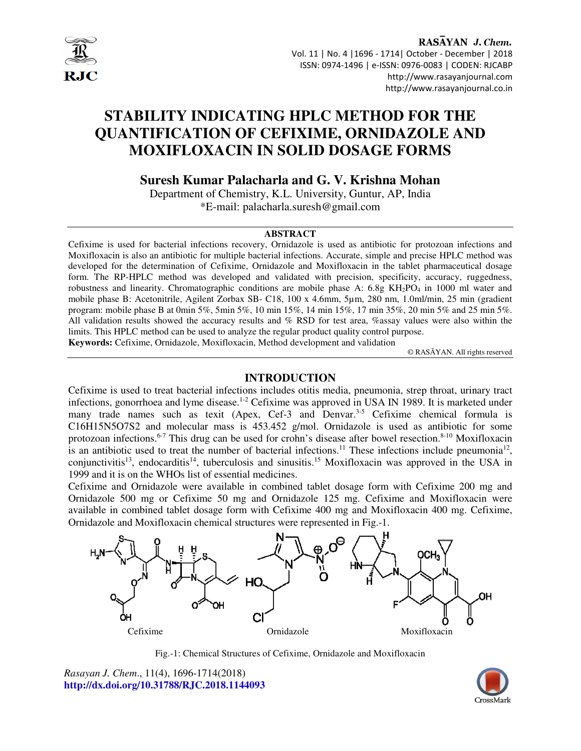

## RASAYAN J. Chem. Vol. 11 | No. 4 |1696 - 1714| October - December | 2018 ISSN: 0974-1496 | e-ISSN: 0976-0083 | CODEN: RJCABP http://www.rasayanjournal.com http://www.rasayanjournal.co.in

# **STABILITY INDICATING HPLC METHOD FOR THE QUANTIFICATION OF CEFIXIME, ORNIDAZOLE AND MOXIFLOXACIN IN SOLID DOSAGE FORMS**

# **Suresh Kumar Palacharla and G. V. Krishna Mohan**

Department of Chemistry, K.L. University, Guntur, AP, India \*E-mail: palacharla.suresh@gmail.com

### **ABSTRACT**

Cefixime is used for bacterial infections recovery, Ornidazole is used as antibiotic for protozoan infections and Moxifloxacin is also an antibiotic for multiple bacterial infections. Accurate, simple and precise HPLC method was developed for the determination of Cefixime, Ornidazole and Moxifloxacin in the tablet pharmaceutical dosage form. The RP-HPLC method was developed and validated with precision, specificity, accuracy, ruggedness, robustness and linearity. Chromatographic conditions are mobile phase A: 6.8g KH<sub>2</sub>PO<sub>4</sub> in 1000 ml water and mobile phase B: Acetonitrile, Agilent Zorbax SB- C18, 100 x 4.6mm, 5µm, 280 nm, 1.0ml/min, 25 min (gradient program: mobile phase B at 0min 5%, 5min 5%, 10 min 15%, 14 min 15%, 17 min 35%, 20 min 5% and 25 min 5%. All validation results showed the accuracy results and % RSD for test area, %assay values were also within the limits. This HPLC method can be used to analyze the regular product quality control purpose. **Keywords:** Cefixime, Ornidazole, Moxifloxacin, Method development and validation

© RASĀYAN. All rights reserved

# **INTRODUCTION**

Cefixime is used to treat bacterial infections includes otitis media, pneumonia, strep throat, urinary tract infections, gonorrhoea and lyme disease.<sup>1-2</sup> Cefixime was approved in USA IN 1989. It is marketed under many trade names such as texit (Apex, Cef-3 and Denvar.<sup>3-5</sup> Cefixime chemical formula is C16H15N5O7S2 and molecular mass is 453.452 g/mol. Ornidazole is used as antibiotic for some protozoan infections.<sup>6-7</sup> This drug can be used for crohn's disease after bowel resection.<sup>8-10</sup> Moxifloxacin is an antibiotic used to treat the number of bacterial infections.<sup>11</sup> These infections include pneumonia<sup>12</sup>, conjunctivitis<sup>13</sup>, endocarditis<sup>14</sup>, tuberculosis and sinusitis.<sup>15</sup> Moxifloxacin was approved in the USA in 1999 and it is on the WHOs list of essential medicines.

Cefixime and Ornidazole were available in combined tablet dosage form with Cefixime 200 mg and Ornidazole 500 mg or Cefixime 50 mg and Ornidazole 125 mg. Cefixime and Moxifloxacin were available in combined tablet dosage form with Cefixime 400 mg and Moxifloxacin 400 mg. Cefixime, Ornidazole and Moxifloxacin chemical structures were represented in Fig.-1.



Fig.-1: Chemical Structures of Cefixime, Ornidazole and Moxifloxacin

*Rasayan J. Chem*., 11(4), 1696-1714(2018) **http://dx.doi.org/10.31788/RJC.2018.1144093**

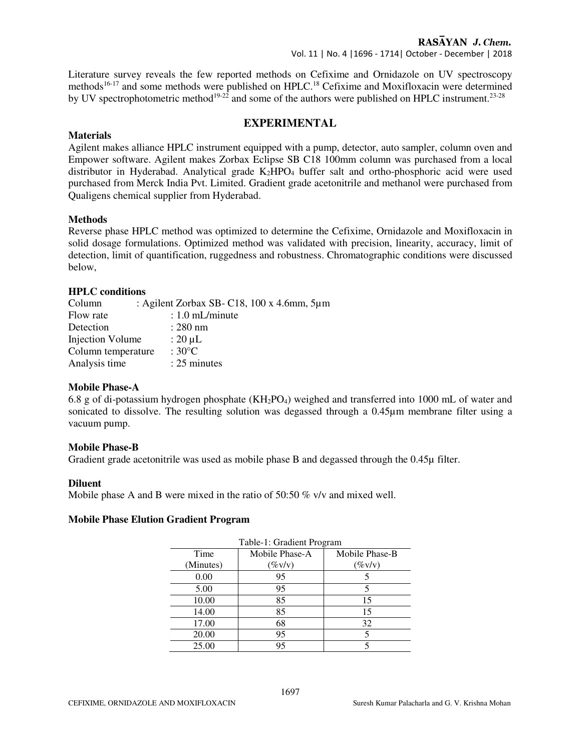Vol. 11 | No. 4 |1696 - 1714| October - December | 2018

Literature survey reveals the few reported methods on Cefixime and Ornidazole on UV spectroscopy methods<sup>16-17</sup> and some methods were published on HPLC.<sup>18</sup> Cefixime and Moxifloxacin were determined by UV spectrophotometric method<sup>19-22</sup> and some of the authors were published on HPLC instrument.<sup>23-28</sup>

# **EXPERIMENTAL**

## **Materials**

Agilent makes alliance HPLC instrument equipped with a pump, detector, auto sampler, column oven and Empower software. Agilent makes Zorbax Eclipse SB C18 100mm column was purchased from a local distributor in Hyderabad. Analytical grade K<sub>2</sub>HPO<sub>4</sub> buffer salt and ortho-phosphoric acid were used purchased from Merck India Pvt. Limited. Gradient grade acetonitrile and methanol were purchased from Qualigens chemical supplier from Hyderabad.

## **Methods**

Reverse phase HPLC method was optimized to determine the Cefixime, Ornidazole and Moxifloxacin in solid dosage formulations. Optimized method was validated with precision, linearity, accuracy, limit of detection, limit of quantification, ruggedness and robustness. Chromatographic conditions were discussed below,

## **HPLC conditions**

| Column             | : Agilent Zorbax SB- C18, $100 \times 4.6$ mm, $5 \mu m$ |  |
|--------------------|----------------------------------------------------------|--|
| Flow rate          | $: 1.0$ mL/minute                                        |  |
| Detection          | $: 280$ nm                                               |  |
| Injection Volume   | : $20 \mu L$                                             |  |
| Column temperature | : $30^{\circ}$ C                                         |  |
| Analysis time      | $: 25$ minutes                                           |  |

### **Mobile Phase-A**

6.8 g of di-potassium hydrogen phosphate  $(KH_2PO_4)$  weighed and transferred into 1000 mL of water and sonicated to dissolve. The resulting solution was degassed through a 0.45µm membrane filter using a vacuum pump.

### **Mobile Phase-B**

Gradient grade acetonitrile was used as mobile phase B and degassed through the 0.45µ filter.

# **Diluent**

Mobile phase A and B were mixed in the ratio of 50:50 % v/v and mixed well.

### **Mobile Phase Elution Gradient Program**

| Table-1: Gradient Program |                |  |  |  |  |  |  |
|---------------------------|----------------|--|--|--|--|--|--|
| Mobile Phase-A            | Mobile Phase-B |  |  |  |  |  |  |
| $(\%v/v)$                 | $(\%v/v)$      |  |  |  |  |  |  |
| 95                        |                |  |  |  |  |  |  |
| 95                        |                |  |  |  |  |  |  |
| 85                        | 15             |  |  |  |  |  |  |
| 85                        | 15             |  |  |  |  |  |  |
| 68                        | 32             |  |  |  |  |  |  |
| 95                        |                |  |  |  |  |  |  |
| 95                        |                |  |  |  |  |  |  |
|                           |                |  |  |  |  |  |  |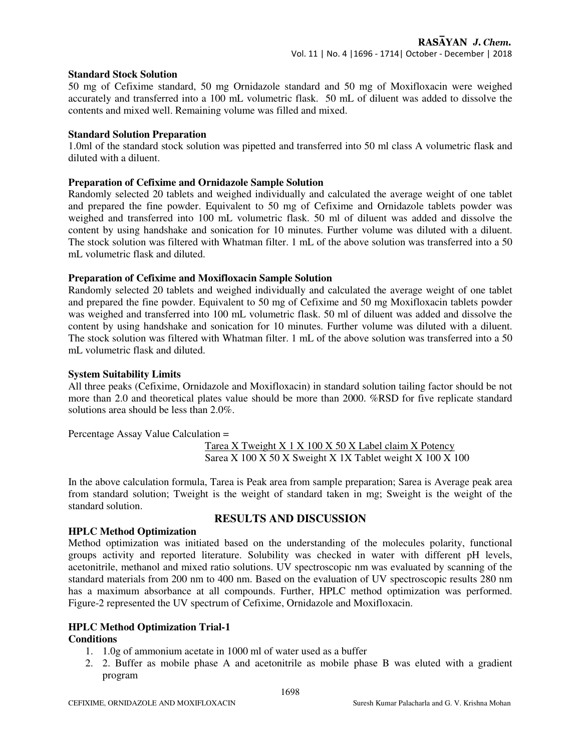### **Standard Stock Solution**

50 mg of Cefixime standard, 50 mg Ornidazole standard and 50 mg of Moxifloxacin were weighed accurately and transferred into a 100 mL volumetric flask. 50 mL of diluent was added to dissolve the contents and mixed well. Remaining volume was filled and mixed.

# **Standard Solution Preparation**

1.0ml of the standard stock solution was pipetted and transferred into 50 ml class A volumetric flask and diluted with a diluent.

# **Preparation of Cefixime and Ornidazole Sample Solution**

Randomly selected 20 tablets and weighed individually and calculated the average weight of one tablet and prepared the fine powder. Equivalent to 50 mg of Cefixime and Ornidazole tablets powder was weighed and transferred into 100 mL volumetric flask. 50 ml of diluent was added and dissolve the content by using handshake and sonication for 10 minutes. Further volume was diluted with a diluent. The stock solution was filtered with Whatman filter. 1 mL of the above solution was transferred into a 50 mL volumetric flask and diluted.

## **Preparation of Cefixime and Moxifloxacin Sample Solution**

Randomly selected 20 tablets and weighed individually and calculated the average weight of one tablet and prepared the fine powder. Equivalent to 50 mg of Cefixime and 50 mg Moxifloxacin tablets powder was weighed and transferred into 100 mL volumetric flask. 50 ml of diluent was added and dissolve the content by using handshake and sonication for 10 minutes. Further volume was diluted with a diluent. The stock solution was filtered with Whatman filter. 1 mL of the above solution was transferred into a 50 mL volumetric flask and diluted.

## **System Suitability Limits**

All three peaks (Cefixime, Ornidazole and Moxifloxacin) in standard solution tailing factor should be not more than 2.0 and theoretical plates value should be more than 2000. %RSD for five replicate standard solutions area should be less than 2.0%.

Percentage Assay Value Calculation =

Tarea X Tweight X 1 X 100 X 50 X Label claim X Potency Sarea X 100 X 50 X Sweight X 1X Tablet weight X 100 X 100

In the above calculation formula, Tarea is Peak area from sample preparation; Sarea is Average peak area from standard solution; Tweight is the weight of standard taken in mg; Sweight is the weight of the standard solution.

# **RESULTS AND DISCUSSION**

# **HPLC Method Optimization**

Method optimization was initiated based on the understanding of the molecules polarity, functional groups activity and reported literature. Solubility was checked in water with different pH levels, acetonitrile, methanol and mixed ratio solutions. UV spectroscopic nm was evaluated by scanning of the standard materials from 200 nm to 400 nm. Based on the evaluation of UV spectroscopic results 280 nm has a maximum absorbance at all compounds. Further, HPLC method optimization was performed. Figure-2 represented the UV spectrum of Cefixime, Ornidazole and Moxifloxacin.

# **HPLC Method Optimization Trial-1**

### **Conditions**

- 1. 1.0g of ammonium acetate in 1000 ml of water used as a buffer
- 2. 2. Buffer as mobile phase A and acetonitrile as mobile phase B was eluted with a gradient program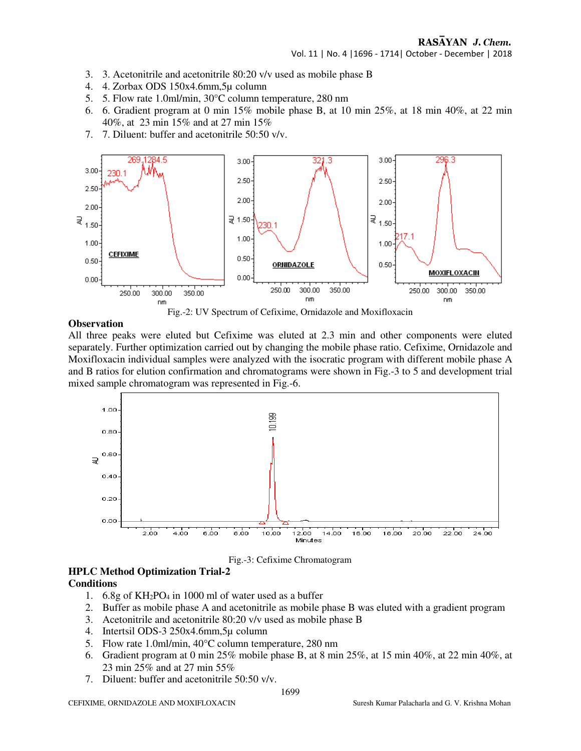Vol. 11 | No. 4 |1696 - 1714| October - December | 2018

- 3. 3. Acetonitrile and acetonitrile 80:20 v/v used as mobile phase B
- 4. 4. Zorbax ODS 150x4.6mm,5µ column
- 5. 5. Flow rate 1.0ml/min, 30°C column temperature, 280 nm
- 6. 6. Gradient program at 0 min 15% mobile phase B, at 10 min 25%, at 18 min 40%, at 22 min 40%, at 23 min 15% and at 27 min 15%
- 7. 7. Diluent: buffer and acetonitrile 50:50 v/v.



Fig.-2: UV Spectrum of Cefixime, Ornidazole and Moxifloxacin

#### **Observation**

All three peaks were eluted but Cefixime was eluted at 2.3 min and other components were eluted separately. Further optimization carried out by changing the mobile phase ratio. Cefixime, Ornidazole and Moxifloxacin individual samples were analyzed with the isocratic program with different mobile phase A and B ratios for elution confirmation and chromatograms were shown in Fig.-3 to 5 and development trial mixed sample chromatogram was represented in Fig.-6.



Fig.-3: Cefixime Chromatogram

#### **HPLC Method Optimization Trial-2 Conditions**

- 1. 6.8g of  $KH_2PO_4$  in 1000 ml of water used as a buffer
- 2. Buffer as mobile phase A and acetonitrile as mobile phase B was eluted with a gradient program
- 3. Acetonitrile and acetonitrile 80:20 v/v used as mobile phase B
- 4. Intertsil ODS-3 250x4.6mm,5µ column
- 5. Flow rate 1.0ml/min, 40°C column temperature, 280 nm
- 6. Gradient program at 0 min 25% mobile phase B, at 8 min 25%, at 15 min 40%, at 22 min 40%, at 23 min 25% and at 27 min 55%
- 7. Diluent: buffer and acetonitrile 50:50 v/v.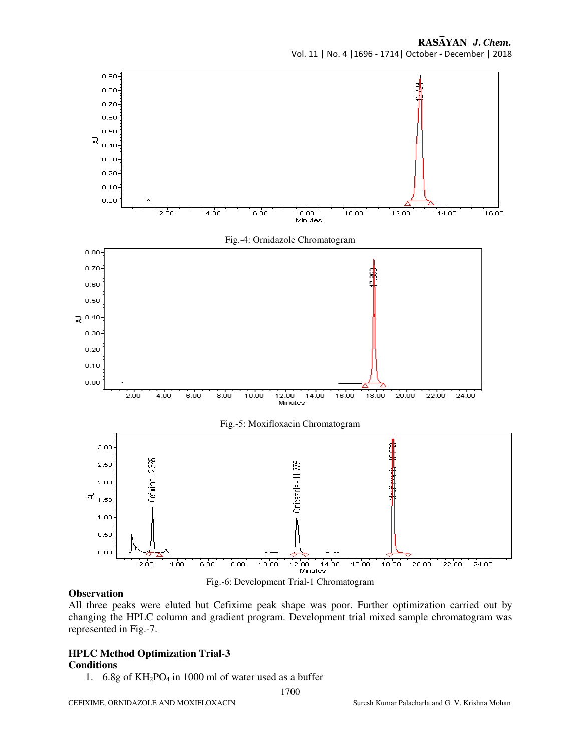

### **Observation**

All three peaks were eluted but Cefixime peak shape was poor. Further optimization carried out by changing the HPLC column and gradient program. Development trial mixed sample chromatogram was represented in Fig.-7.

#### **HPLC Method Optimization Trial-3 Conditions**

1.  $6.8g$  of KH<sub>2</sub>PO<sub>4</sub> in 1000 ml of water used as a buffer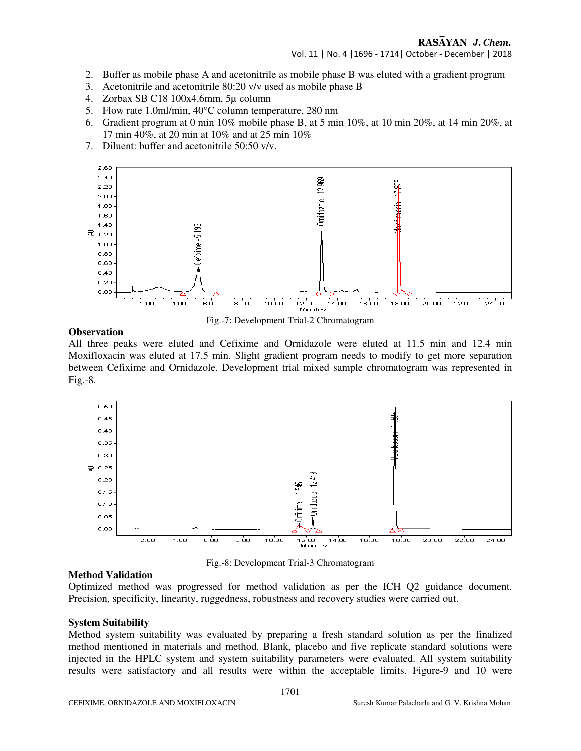- 2. Buffer as mobile phase A and acetonitrile as mobile phase B was eluted with a gradient program
- 3. Acetonitrile and acetonitrile 80:20 v/v used as mobile phase B
- 4. Zorbax SB C18 100x4.6mm, 5µ column
- 5. Flow rate 1.0ml/min, 40°C column temperature, 280 nm
- 6. Gradient program at 0 min  $10\%$  mobile phase B, at 5 min  $10\%$ , at 10 min  $20\%$ , at 14 min  $20\%$ , at 17 min 40%, at 20 min at 10% and at 25 min 10%
- 7. Diluent: buffer and acetonitrile 50:50 v/v.



Fig.-7: Development Trial-2 Chromatogram

#### **Observation**

All three peaks were eluted and Cefixime and Ornidazole were eluted at 11.5 min and 12.4 min Moxifloxacin was eluted at 17.5 min. Slight gradient program needs to modify to get more separation between Cefixime and Ornidazole. Development trial mixed sample chromatogram was represented in Fig.-8.



Fig.-8: Development Trial-3 Chromatogram

#### **Method Validation**

Optimized method was progressed for method validation as per the ICH Q2 guidance document. Precision, specificity, linearity, ruggedness, robustness and recovery studies were carried out.

#### **System Suitability**

Method system suitability was evaluated by preparing a fresh standard solution as per the finalized method mentioned in materials and method. Blank, placebo and five replicate standard solutions were injected in the HPLC system and system suitability parameters were evaluated. All system suitability results were satisfactory and all results were within the acceptable limits. Figure-9 and 10 were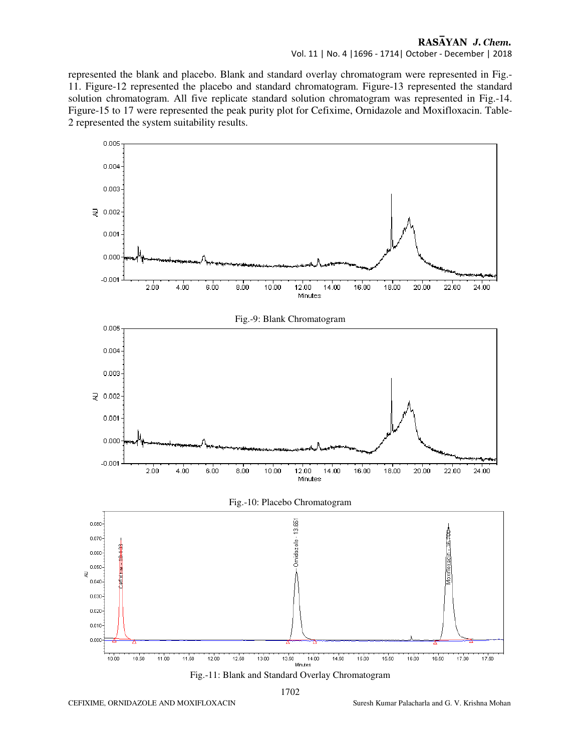# Vol. 11 | No. 4 |1696 - 1714| October - December | 2018

represented the blank and placebo. Blank and standard overlay chromatogram were represented in Fig.- 11. Figure-12 represented the placebo and standard chromatogram. Figure-13 represented the standard solution chromatogram. All five replicate standard solution chromatogram was represented in Fig.-14. Figure-15 to 17 were represented the peak purity plot for Cefixime, Ornidazole and Moxifloxacin. Table-2 represented the system suitability results.



1702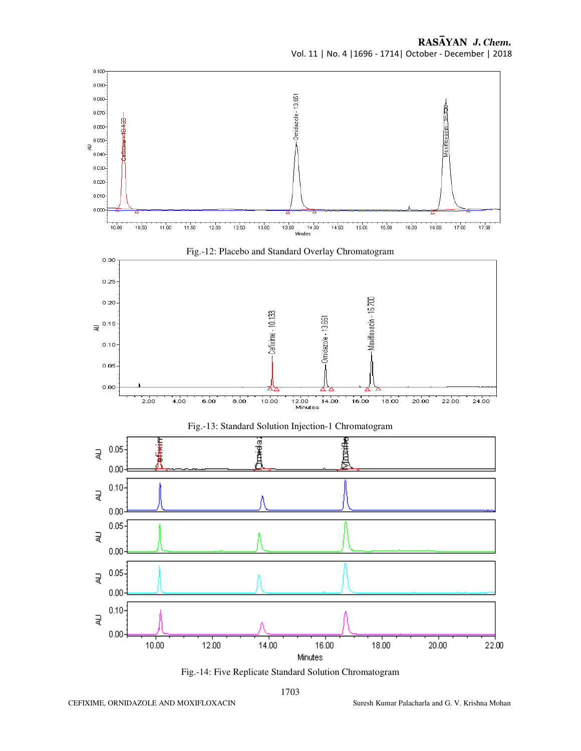

Fig.-14: Five Replicate Standard Solution Chromatogram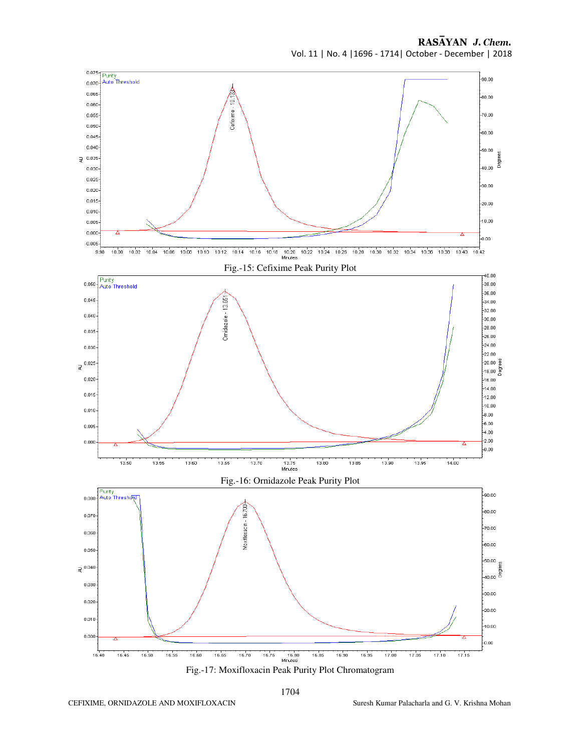RASAYAN J. Chem. Vol. 11 | No. 4 |1696 - 1714| October - December | 2018

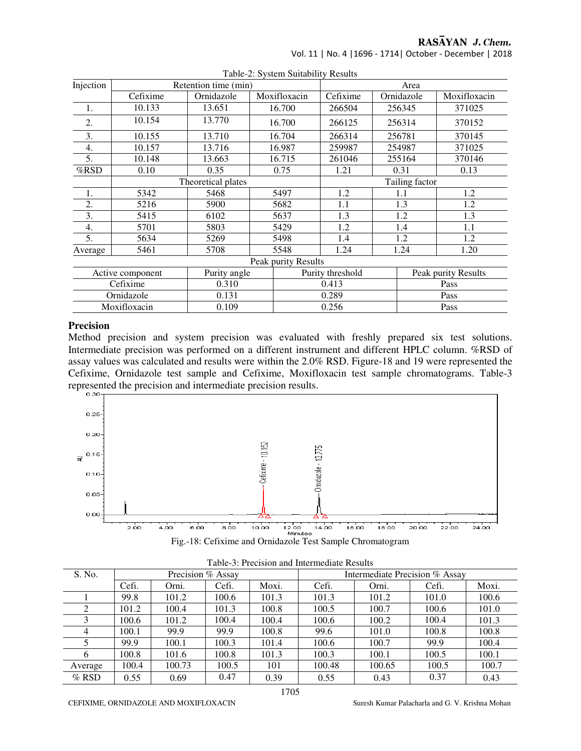Vol. 11 | No. 4 |1696 - 1714| October - December | 2018

|                     | raone-2. System Sundomy Results |                      |              |                  |      |            |                     |  |  |  |
|---------------------|---------------------------------|----------------------|--------------|------------------|------|------------|---------------------|--|--|--|
| Injection           |                                 | Retention time (min) |              |                  | Area |            |                     |  |  |  |
|                     | Cefixime                        | Ornidazole           | Moxifloxacin | Cefixime         |      | Ornidazole | Moxifloxacin        |  |  |  |
| 1.                  | 10.133                          | 13.651               | 16.700       | 266504           |      | 256345     | 371025              |  |  |  |
| 2.                  | 10.154                          | 13.770               | 16.700       | 266125           |      | 256314     | 370152              |  |  |  |
| 3.                  | 10.155                          | 13.710               | 16.704       | 266314           |      | 256781     | 370145              |  |  |  |
| 4.                  | 10.157                          | 13.716               | 16.987       | 259987           |      | 254987     | 371025              |  |  |  |
| 5.                  | 10.148                          | 13.663               | 16.715       | 261046           |      | 255164     | 370146              |  |  |  |
| %RSD                | 0.10                            | 0.35                 | 0.75         | 1.21             |      | 0.31       | 0.13                |  |  |  |
|                     | Tailing factor                  |                      |              |                  |      |            |                     |  |  |  |
| 1.                  | 5342                            | 5468                 | 5497         | 1.2              |      | 1.1        | 1.2                 |  |  |  |
| 2.                  | 5216                            | 5900                 | 5682         | 1.1              |      | 1.3        | 1.2                 |  |  |  |
| 3.                  | 5415                            | 6102                 | 5637         | 1.3              |      | 1.2        | 1.3                 |  |  |  |
| 4.                  | 5701                            | 5803                 | 5429         | 1.2              | 1.4  |            | 1.1                 |  |  |  |
| 5.                  | 5634                            | 5269                 | 5498         | 1.4              | 1.2  |            | 1.2                 |  |  |  |
| Average             | 5461                            | 5708                 | 5548         | 1.24             |      | 1.24       | 1.20                |  |  |  |
| Peak purity Results |                                 |                      |              |                  |      |            |                     |  |  |  |
| Active component    |                                 | Purity angle         |              | Purity threshold |      |            | Peak purity Results |  |  |  |
|                     | Cefixime                        | 0.310                |              | 0.413            |      |            | Pass                |  |  |  |
|                     | Ornidazole                      | 0.131                |              | 0.289            |      |            | Pass                |  |  |  |
|                     | Moxifloxacin                    | 0.109                |              | 0.256            |      | Pass       |                     |  |  |  |

Table-2: System Suitability Results

# **Precision**

Method precision and system precision was evaluated with freshly prepared six test solutions. Intermediate precision was performed on a different instrument and different HPLC column. %RSD of assay values was calculated and results were within the 2.0% RSD. Figure-18 and 19 were represented the Cefixime, Ornidazole test sample and Cefixime, Moxifloxacin test sample chromatograms. Table-3 represented the precision and intermediate precision results.



|  |  |  |  |  |  |  | Fig.-18: Cefixime and Ornidazole Test Sample Chromatogram |
|--|--|--|--|--|--|--|-----------------------------------------------------------|
|--|--|--|--|--|--|--|-----------------------------------------------------------|

| S. No.  |       | Precision % Assay |       |       | Intermediate Precision % Assay |        |       |       |
|---------|-------|-------------------|-------|-------|--------------------------------|--------|-------|-------|
|         | Cefi. | Orni.             | Cefi. | Moxi. | Cefi.                          | Orni.  | Cefi. | Moxi. |
|         | 99.8  | 101.2             | 100.6 | 101.3 | 101.3                          | 101.2  | 101.0 | 100.6 |
|         | 101.2 | 100.4             | 101.3 | 100.8 | 100.5                          | 100.7  | 100.6 | 101.0 |
|         | 100.6 | 101.2             | 100.4 | 100.4 | 100.6                          | 100.2  | 100.4 | 101.3 |
| 4       | 100.1 | 99.9              | 99.9  | 100.8 | 99.6                           | 101.0  | 100.8 | 100.8 |
|         | 99.9  | 100.1             | 100.3 | 101.4 | 100.6                          | 100.7  | 99.9  | 100.4 |
| 6       | 100.8 | 101.6             | 100.8 | 101.3 | 100.3                          | 100.1  | 100.5 | 100.1 |
| Average | 100.4 | 100.73            | 100.5 | 101   | 100.48                         | 100.65 | 100.5 | 100.7 |
| $%$ RSD | 0.55  | 0.69              | 0.47  | 0.39  | 0.55                           | 0.43   | 0.37  | 0.43  |

|  | Table-3: Precision and Intermediate Results |
|--|---------------------------------------------|
|--|---------------------------------------------|

CEFIXIME, ORNIDAZOLE AND MOXIFLOXACIN Suresh Kumar Palacharla and G. V. Krishna Mohan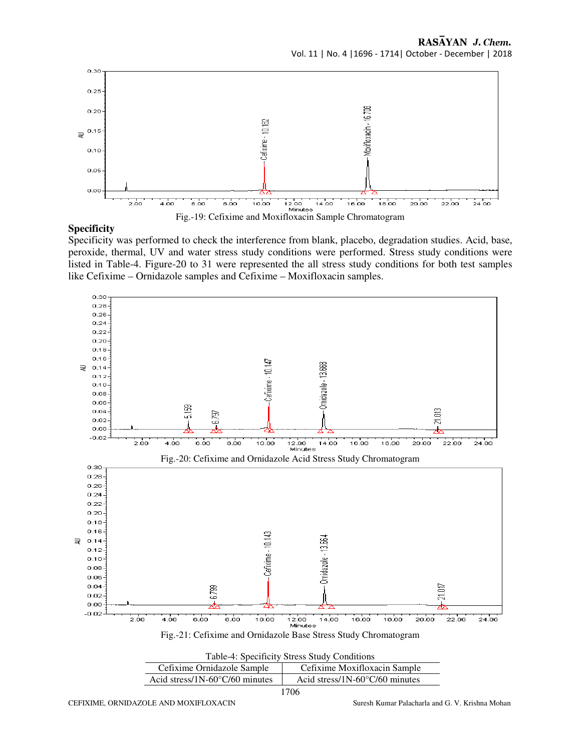

#### **Specificity**

Specificity was performed to check the interference from blank, placebo, degradation studies. Acid, base, peroxide, thermal, UV and water stress study conditions were performed. Stress study conditions were listed in Table-4. Figure-20 to 31 were represented the all stress study conditions for both test samples like Cefixime – Ornidazole samples and Cefixime – Moxifloxacin samples.

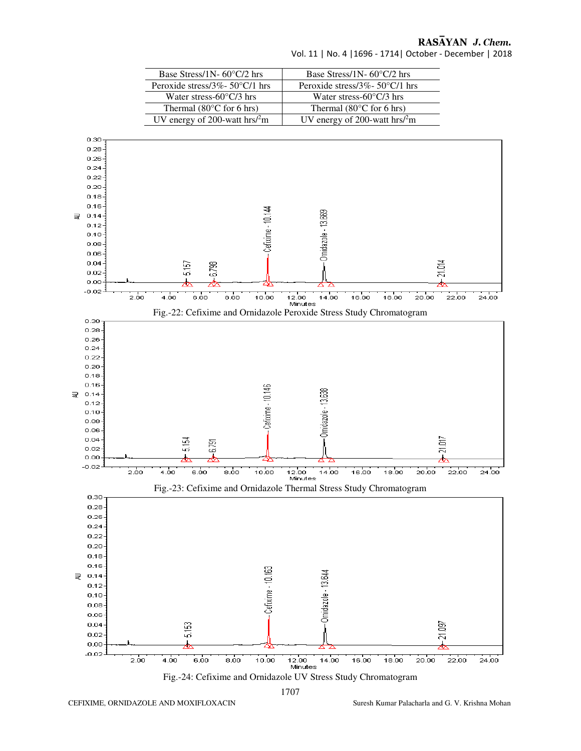| Base Stress/1N- $60^{\circ}C/2$ hrs             | Base Stress/1N- $60^{\circ}$ C/2 hrs         |
|-------------------------------------------------|----------------------------------------------|
| Peroxide stress/3%- $50^{\circ}$ C/1 hrs        | Peroxide stress/ $3\%$ - 50°C/1 hrs          |
| Water stress- $60^{\circ}$ C/3 hrs              | Water stress- $60^{\circ}$ C/3 hrs           |
| Thermal $(80^{\circ}$ C for 6 hrs)              | Thermal $(80^{\circ}$ C for 6 hrs)           |
| UV energy of 200-watt hrs $\ell$ <sup>2</sup> m | UV energy of 200-watt $\text{hrs}/\text{2m}$ |

Vol. 11 | No. 4 |1696 - 1714| October - December | 2018

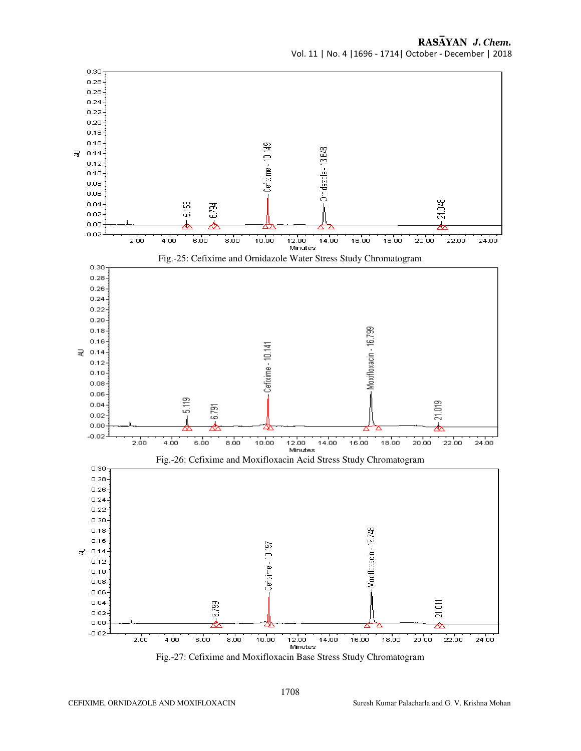

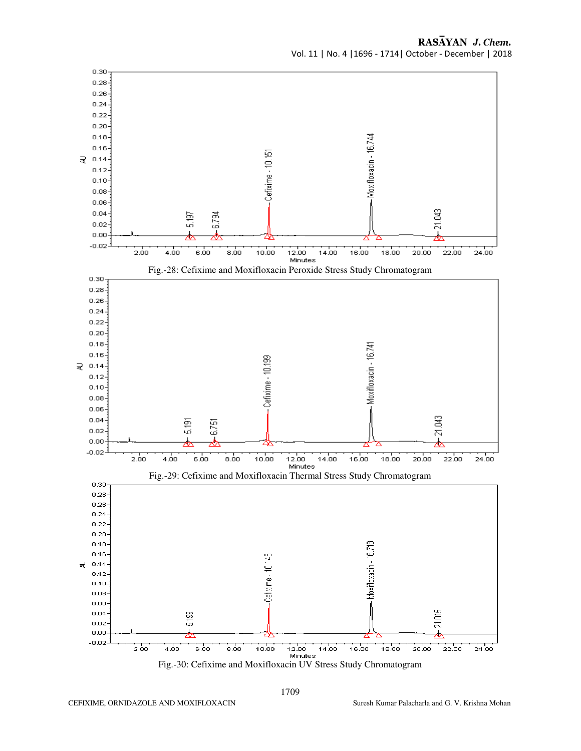

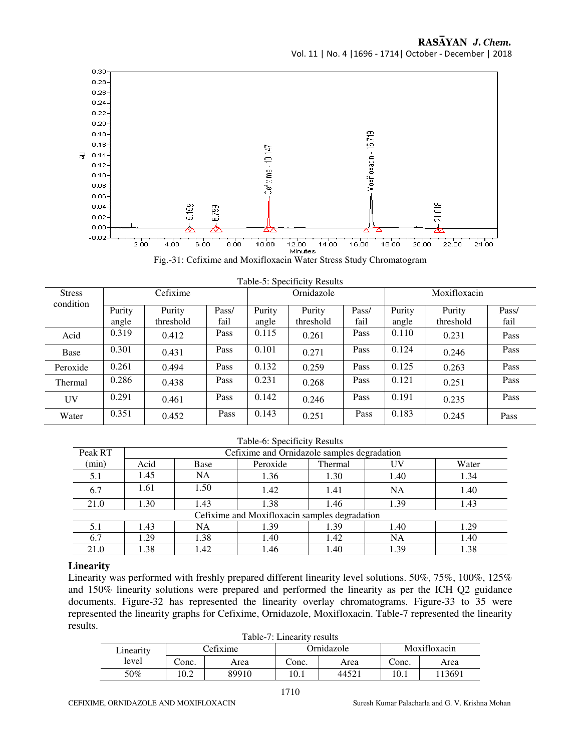



| <b>Stress</b> | Cefixime        |                     |               | Table-5: Specificity Results<br>Ornidazole |                     |               | Moxifloxacin    |                     |               |
|---------------|-----------------|---------------------|---------------|--------------------------------------------|---------------------|---------------|-----------------|---------------------|---------------|
| condition     | Purity<br>angle | Purity<br>threshold | Pass/<br>fail | Purity<br>angle                            | Purity<br>threshold | Pass/<br>fail | Purity<br>angle | Purity<br>threshold | Pass/<br>fail |
| Acid          | 0.319           | 0.412               | Pass          | 0.115                                      | 0.261               | Pass          | 0.110           | 0.231               | Pass          |
| Base          | 0.301           | 0.431               | Pass          | 0.101                                      | 0.271               | Pass          | 0.124           | 0.246               | Pass          |
| Peroxide      | 0.261           | 0.494               | Pass          | 0.132                                      | 0.259               | Pass          | 0.125           | 0.263               | Pass          |
| Thermal       | 0.286           | 0.438               | Pass          | 0.231                                      | 0.268               | Pass          | 0.121           | 0.251               | Pass          |
| UV            | 0.291           | 0.461               | Pass          | 0.142                                      | 0.246               | Pass          | 0.191           | 0.235               | Pass          |
| Water         | 0.351           | 0.452               | Pass          | 0.143                                      | 0.251               | Pass          | 0.183           | 0.245               | Pass          |

# $T_{\text{eff}}$   $\mathbf{L}$   $\mathbf{L}$   $\mathbf{S}$   $\mathbf{S}$   $\mathbf{S}$   $\mathbf{S}$   $\mathbf{S}$   $\mathbf{L}$   $\mathbf{L}$   $\mathbf{D}$   $\mathbf{S}$   $\mathbf{L}$   $\mathbf{L}$

| Peak RT |      | Cefixime and Ornidazole samples degradation |                                               |         |           |       |  |  |  |  |
|---------|------|---------------------------------------------|-----------------------------------------------|---------|-----------|-------|--|--|--|--|
| (min)   | Acid | Base                                        | Peroxide                                      | Thermal | UV        | Water |  |  |  |  |
| 5.1     | 1.45 | <b>NA</b>                                   | 1.36                                          | 1.30    | 1.40      | 1.34  |  |  |  |  |
| 6.7     | 1.61 | 1.50                                        | 1.42                                          | 1.41    | <b>NA</b> | 1.40  |  |  |  |  |
| 21.0    | 1.30 | 1.43                                        | 1.38                                          | 1.46    | 1.39      | 1.43  |  |  |  |  |
|         |      |                                             | Cefixime and Moxifloxacin samples degradation |         |           |       |  |  |  |  |
| 5.1     | 1.43 | <b>NA</b>                                   | 1.39                                          | 1.39    | 1.40      | 1.29  |  |  |  |  |
| 6.7     | 1.29 | 1.38                                        | 1.40                                          | 1.42    | <b>NA</b> | 1.40  |  |  |  |  |
| 21.0    | 1.38 | 1.42                                        | 1.46                                          | 1.40    | 1.39      | 1.38  |  |  |  |  |

### **Linearity**

Linearity was performed with freshly prepared different linearity level solutions. 50%, 75%, 100%, 125% and 150% linearity solutions were prepared and performed the linearity as per the ICH Q2 guidance documents. Figure-32 has represented the linearity overlay chromatograms. Figure-33 to 35 were represented the linearity graphs for Cefixime, Ornidazole, Moxifloxacin. Table-7 represented the linearity results. Table 7: Linearity results

| I adie-7: Linearity results |                        |       |       |              |       |       |  |  |  |
|-----------------------------|------------------------|-------|-------|--------------|-------|-------|--|--|--|
| Linearity                   | Ornidazole<br>Cefixime |       |       | Moxifloxacin |       |       |  |  |  |
| level                       | Conc.                  | Area  | Conc. | Area         | Conc. | Area  |  |  |  |
| 50%                         | 0.2                    | 89910 | 10.1  | 44521        | 10.1  | 13691 |  |  |  |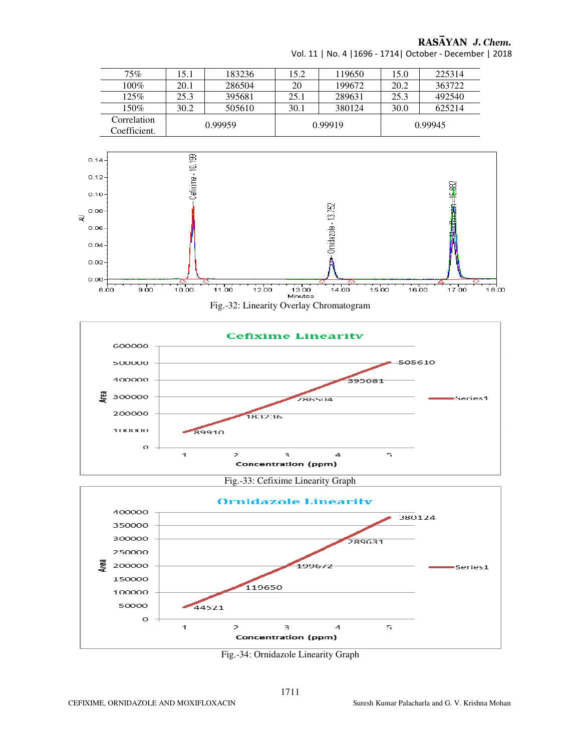| 75%                         | 15.1    | 183236 | 15.2 | 119650  | 15.0    | 225314 |  |
|-----------------------------|---------|--------|------|---------|---------|--------|--|
| $100\%$                     | 20.1    | 286504 | 20   | 199672  | 20.2    | 363722 |  |
| 125%                        | 25.3    | 395681 | 25.1 | 289631  | 25.3    | 492540 |  |
| $150\%$                     | 30.2    | 505610 | 30.1 | 380124  | 30.0    | 625214 |  |
| Correlation<br>Coefficient. | 0.99959 |        |      | 0.99919 | 0.99945 |        |  |

Vol. 11 | No. 4 |1696 - 1714| October - December | 2018



Fig.-32: Linearity Overlay Chromatogram



Fig.-33: Cefixime Linearity Graph



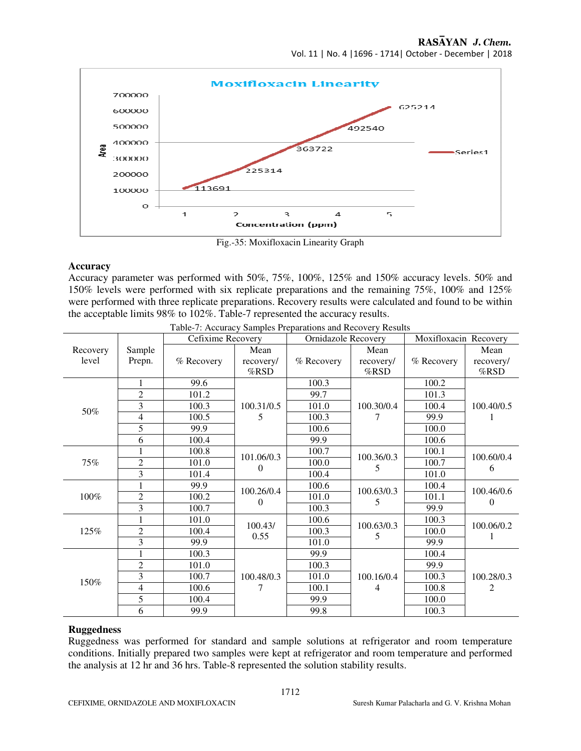Vol. 11 | No. 4 |1696 - 1714| October - December | 2018



Fig.-35: Moxifloxacin Linearity Graph

## **Accuracy**

Accuracy parameter was performed with 50%, 75%, 100%, 125% and 150% accuracy levels. 50% and 150% levels were performed with six replicate preparations and the remaining 75%, 100% and 125% were performed with three replicate preparations. Recovery results were calculated and found to be within the acceptable limits 98% to 102%. Table-7 represented the accuracy results.

|          |                | Cefixime Recovery |                 | <b>Ornidazole Recovery</b> |                 | Moxifloxacin Recovery |                        |
|----------|----------------|-------------------|-----------------|----------------------------|-----------------|-----------------------|------------------------|
| Recovery | Sample         |                   | Mean            |                            | Mean            |                       | Mean                   |
| level    | Prepn.         | % Recovery        | recovery/       | % Recovery                 | recovery/       | % Recovery            | recovery/              |
|          |                |                   | %RSD            |                            | %RSD            |                       | $%$ RSD                |
|          |                | 99.6              |                 | 100.3                      |                 | 100.2                 | 100.40/0.5             |
|          | $\overline{2}$ | 101.2             |                 | 99.7                       |                 | 101.3                 |                        |
| 50%      | 3              | 100.3             | 100.31/0.5      | 101.0                      | 100.30/0.4      | 100.4                 |                        |
|          | 4              | 100.5             | 5               | 100.3                      |                 | 99.9                  |                        |
|          | 5              | 99.9              |                 | 100.6                      |                 | 100.0                 |                        |
|          | 6              | 100.4             |                 | 99.9                       |                 | 100.6                 |                        |
|          |                | 100.8             | 101.06/0.3<br>0 | 100.7                      | 100.36/0.3<br>5 | 100.1                 | 100.60/0.4<br>6        |
| 75%      | $\overline{2}$ | 101.0             |                 | 100.0                      |                 | 100.7                 |                        |
|          | 3              | 101.4             |                 | 100.4                      |                 | 101.0                 |                        |
| 100%     |                | 99.9              | 100.26/0.4      | 100.6                      | 100.63/0.3<br>5 | 100.4                 | 100.46/0.6<br>$\theta$ |
|          | $\overline{2}$ | 100.2             | 0               | 101.0                      |                 | 101.1                 |                        |
|          | 3              | 100.7             |                 | 100.3                      |                 | 99.9                  |                        |
| 125%     |                | 101.0             | 100.43/         | 100.6                      | 100.63/0.3      | 100.3                 | 100.06/0.2             |
|          | $\overline{c}$ | 100.4             | 0.55            | 100.3                      | 5               | 100.0                 |                        |
|          | 3              | 99.9              |                 | 101.0                      |                 | 99.9                  |                        |
|          |                | 100.3             |                 | 99.9                       |                 | 100.4                 | 100.28/0.3<br>2        |
| 150%     | $\overline{c}$ | 101.0             | 100.48/0.3      | 100.3                      | 100.16/0.4      | 99.9                  |                        |
|          | 3              | 100.7             |                 | 101.0                      |                 | 100.3                 |                        |
|          | 4              | 100.6             |                 | 100.1                      | 4               | 100.8                 |                        |
|          | 5              | 100.4             |                 | 99.9                       |                 | 100.0                 |                        |
|          | 6              | 99.9              |                 | 99.8                       |                 | 100.3                 |                        |

| Table-7: Accuracy Samples Preparations and Recovery Results |  |  |
|-------------------------------------------------------------|--|--|
|                                                             |  |  |

### **Ruggedness**

Ruggedness was performed for standard and sample solutions at refrigerator and room temperature conditions. Initially prepared two samples were kept at refrigerator and room temperature and performed the analysis at 12 hr and 36 hrs. Table-8 represented the solution stability results.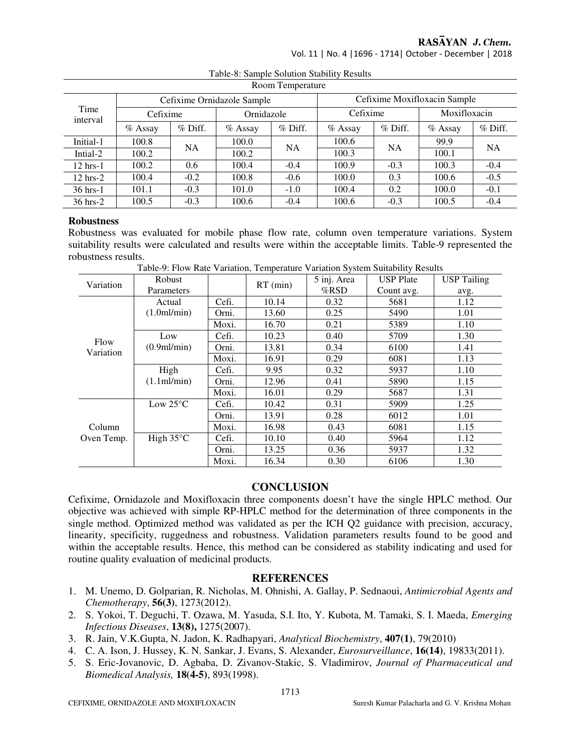Vol. 11 | No. 4 |1696 - 1714| October - December | 2018

| Room Temperature   |           |           |                            |           |                              |           |              |           |  |
|--------------------|-----------|-----------|----------------------------|-----------|------------------------------|-----------|--------------|-----------|--|
| Time<br>interval   |           |           | Cefixime Ornidazole Sample |           | Cefixime Moxifloxacin Sample |           |              |           |  |
|                    | Cefixime  |           | Ornidazole                 |           | Cefixime                     |           | Moxifloxacin |           |  |
|                    | $%$ Assay | $%$ Diff. | $%$ Assay                  | $%$ Diff. | $%$ Assay                    | $%$ Diff. | $%$ Assay    | $%$ Diff. |  |
| Initial-1          | 100.8     | <b>NA</b> | 100.0                      | NA        | 100.6                        | <b>NA</b> | 99.9         | <b>NA</b> |  |
| Intial-2           | 100.2     |           | 100.2                      |           | 100.3                        |           | 100.1        |           |  |
| $12$ hrs- $1$      | 100.2     | 0.6       | 100.4                      | $-0.4$    | 100.9                        | $-0.3$    | 100.3        | $-0.4$    |  |
| $12 \text{ hrs}-2$ | 100.4     | $-0.2$    | 100.8                      | $-0.6$    | 100.0                        | 0.3       | 100.6        | $-0.5$    |  |
| 36 hrs-1           | 101.1     | $-0.3$    | 101.0                      | $-1.0$    | 100.4                        | 0.2       | 100.0        | $-0.1$    |  |
| $36$ hrs- $2$      | 100.5     | $-0.3$    | 100.6                      | $-0.4$    | 100.6                        | $-0.3$    | 100.5        | $-0.4$    |  |

Table-8: Sample Solution Stability Results

### **Robustness**

Robustness was evaluated for mobile phase flow rate, column oven temperature variations. System suitability results were calculated and results were within the acceptable limits. Table-9 represented the robustness results.

| Variation  | Robust                                |       |            | 5 inj. Area | <b>USP</b> Plate | <b>USP Tailing</b> |
|------------|---------------------------------------|-------|------------|-------------|------------------|--------------------|
|            | Parameters                            |       | $RT$ (min) | $%$ RSD     | Count avg.       | avg.               |
|            | Actual                                | Cefi. | 10.14      | 0.32        | 5681             | 1.12               |
|            | (1.0 <sub>m</sub> )/ <sub>min</sub> ) | Orni. | 13.60      | 0.25        | 5490             | 1.01               |
|            |                                       | Moxi. | 16.70      | 0.21        | 5389             | 1.10               |
| Flow       | Low                                   | Cefi. | 10.23      | 0.40        | 5709             | 1.30               |
| Variation  | (0.9 <sub>m</sub> )/ <sub>min</sub> ) | Orni. | 13.81      | 0.34        | 6100             | 1.41               |
|            |                                       | Moxi. | 16.91      | 0.29        | 6081             | 1.13               |
|            | High                                  | Cefi. | 9.95       | 0.32        | 5937             | 1.10               |
|            | (1.1ml/min)                           | Orni. | 12.96      | 0.41        | 5890             | 1.15               |
|            |                                       | Moxi. | 16.01      | 0.29        | 5687             | 1.31               |
|            | Low $25^{\circ}$ C                    | Cefi. | 10.42      | 0.31        | 5909             | 1.25               |
|            |                                       | Orni. | 13.91      | 0.28        | 6012             | 1.01               |
| Column     |                                       | Moxi. | 16.98      | 0.43        | 6081             | 1.15               |
| Oven Temp. | High $35^{\circ}$ C                   | Cefi. | 10.10      | 0.40        | 5964             | 1.12               |
|            |                                       | Orni. | 13.25      | 0.36        | 5937             | 1.32               |
|            |                                       | Moxi. | 16.34      | 0.30        | 6106             | 1.30               |

Table-9: Flow Rate Variation, Temperature Variation System Suitability Results

## **CONCLUSION**

Cefixime, Ornidazole and Moxifloxacin three components doesn't have the single HPLC method. Our objective was achieved with simple RP-HPLC method for the determination of three components in the single method. Optimized method was validated as per the ICH Q2 guidance with precision, accuracy, linearity, specificity, ruggedness and robustness. Validation parameters results found to be good and within the acceptable results. Hence, this method can be considered as stability indicating and used for routine quality evaluation of medicinal products.

# **REFERENCES**

- 1. M. Unemo, D. Golparian, R. Nicholas, M. Ohnishi, A. Gallay, P. Sednaoui, *Antimicrobial Agents and Chemotherapy*, **56(3)**, 1273(2012).
- 2. S. Yokoi, T. Deguchi, T. Ozawa, M. Yasuda, S.I. Ito, Y. Kubota, M. Tamaki, S. I. Maeda, *Emerging Infectious Diseases*, **13(8),** 1275(2007).
- 3. R. Jain, V.K.Gupta, N. Jadon, K. Radhapyari, *Analytical Biochemistry*, **407(1)**, 79(2010)
- 4. C. A. Ison, J. Hussey, K. N. Sankar, J. Evans, S. Alexander, *Eurosurveillance*, **16(14)**, 19833(2011).
- 5. S. Eric-Jovanovic, D. Agbaba, D. Zivanov-Stakic, S. Vladimirov, *Journal of Pharmaceutical and Biomedical Analysis,* **18(4-5)**, 893(1998).